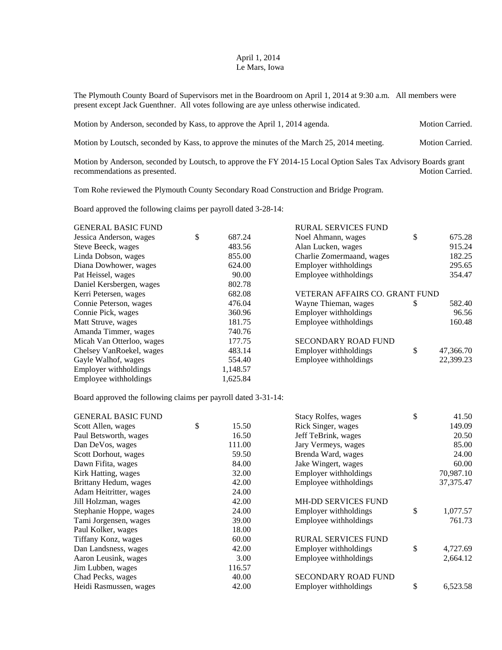## April 1, 2014 Le Mars, Iowa

The Plymouth County Board of Supervisors met in the Boardroom on April 1, 2014 at 9:30 a.m. All members were present except Jack Guenthner. All votes following are aye unless otherwise indicated.

| Motion by Anderson, seconded by Kass, to approve the April 1, 2014 agenda.                 | <b>Motion Carried.</b> |
|--------------------------------------------------------------------------------------------|------------------------|
| Motion by Loutsch, seconded by Kass, to approve the minutes of the March 25, 2014 meeting. | <b>Motion Carried.</b> |

Motion by Anderson, seconded by Loutsch, to approve the FY 2014-15 Local Option Sales Tax Advisory Boards grant recommendations as presented. Motion Carried.

Tom Rohe reviewed the Plymouth County Secondary Road Construction and Bridge Program.

Board approved the following claims per payroll dated 3-28-14:

| <b>GENERAL BASIC FUND</b> |              | <b>RURAL SERVICES FUND</b>     |    |           |
|---------------------------|--------------|--------------------------------|----|-----------|
| Jessica Anderson, wages   | \$<br>687.24 | Noel Ahmann, wages             | \$ | 675.28    |
| Steve Beeck, wages        | 483.56       | Alan Lucken, wages             |    | 915.24    |
| Linda Dobson, wages       | 855.00       | Charlie Zomermaand, wages      |    | 182.25    |
| Diana Dowhower, wages     | 624.00       | Employer withholdings          |    | 295.65    |
| Pat Heissel, wages        | 90.00        | Employee withholdings          |    | 354.47    |
| Daniel Kersbergen, wages  | 802.78       |                                |    |           |
| Kerri Petersen, wages     | 682.08       | VETERAN AFFAIRS CO. GRANT FUND |    |           |
| Connie Peterson, wages    | 476.04       | Wayne Thieman, wages           | S  | 582.40    |
| Connie Pick, wages        | 360.96       | Employer withholdings          |    | 96.56     |
| Matt Struve, wages        | 181.75       | Employee withholdings          |    | 160.48    |
| Amanda Timmer, wages      | 740.76       |                                |    |           |
| Micah Van Otterloo, wages | 177.75       | <b>SECONDARY ROAD FUND</b>     |    |           |
| Chelsey VanRoekel, wages  | 483.14       | Employer withholdings          | \$ | 47,366.70 |
| Gayle Walhof, wages       | 554.40       | Employee withholdings          |    | 22,399.23 |
| Employer withholdings     | 1,148.57     |                                |    |           |
| Employee withholdings     | 1,625.84     |                                |    |           |

Board approved the following claims per payroll dated 3-31-14:

| <b>GENERAL BASIC FUND</b> |             | Stacy Rolfes, wages        | \$<br>41.50    |
|---------------------------|-------------|----------------------------|----------------|
| Scott Allen, wages        | \$<br>15.50 | Rick Singer, wages         | 149.09         |
| Paul Betsworth, wages     | 16.50       | Jeff TeBrink, wages        | 20.50          |
| Dan DeVos, wages          | 111.00      | Jary Vermeys, wages        | 85.00          |
| Scott Dorhout, wages      | 59.50       | Brenda Ward, wages         | 24.00          |
| Dawn Fifita, wages        | 84.00       | Jake Wingert, wages        | 60.00          |
| Kirk Hatting, wages       | 32.00       | Employer withholdings      | 70,987.10      |
| Brittany Hedum, wages     | 42.00       | Employee withholdings      | 37, 375. 47    |
| Adam Heitritter, wages    | 24.00       |                            |                |
| Jill Holzman, wages       | 42.00       | <b>MH-DD SERVICES FUND</b> |                |
| Stephanie Hoppe, wages    | 24.00       | Employer withholdings      | \$<br>1,077.57 |
| Tami Jorgensen, wages     | 39.00       | Employee withholdings      | 761.73         |
| Paul Kolker, wages        | 18.00       |                            |                |
| Tiffany Konz, wages       | 60.00       | <b>RURAL SERVICES FUND</b> |                |
| Dan Landsness, wages      | 42.00       | Employer withholdings      | \$<br>4,727.69 |
| Aaron Leusink, wages      | 3.00        | Employee withholdings      | 2,664.12       |
| Jim Lubben, wages         | 116.57      |                            |                |
| Chad Pecks, wages         | 40.00       | SECONDARY ROAD FUND        |                |
| Heidi Rasmussen, wages    | 42.00       | Employer withholdings      | \$<br>6,523.58 |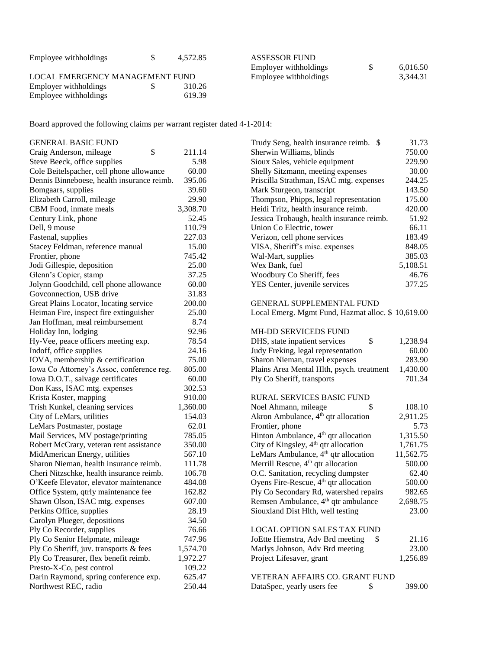| Employee withholdings           | 4.572.85 | <b>ASSESSOR FUND</b>  |          |
|---------------------------------|----------|-----------------------|----------|
|                                 |          | Employer withholdings | 6,016.50 |
| LOCAL EMERGENCY MANAGEMENT FUND |          | Employee withholdings | 3,344.31 |
| Employer withholdings           | 310.26   |                       |          |
| Employee withholdings           | 619.39   |                       |          |

Board approved the following claims per warrant register dated 4-1-2014:

| <b>GENERAL BASIC FUND</b>                  |          | Trudy Seng, health insurance reimb. \$            | 31.73     |
|--------------------------------------------|----------|---------------------------------------------------|-----------|
| \$<br>Craig Anderson, mileage              | 211.14   | Sherwin Williams, blinds                          | 750.00    |
| Steve Beeck, office supplies               | 5.98     | Sioux Sales, vehicle equipment                    | 229.90    |
| Cole Beitelspacher, cell phone allowance   | 60.00    | Shelly Sitzmann, meeting expenses                 | 30.00     |
| Dennis Binneboese, health insurance reimb. | 395.06   | Priscilla Strathman, ISAC mtg. expenses           | 244.25    |
| Bomgaars, supplies                         | 39.60    | Mark Sturgeon, transcript                         | 143.50    |
| Elizabeth Carroll, mileage                 | 29.90    | Thompson, Phipps, legal representation            | 175.00    |
| CBM Food, inmate meals                     | 3,308.70 | Heidi Tritz, health insurance reimb.              | 420.00    |
| Century Link, phone                        | 52.45    | Jessica Trobaugh, health insurance reimb.         | 51.92     |
| Dell, 9 mouse                              | 110.79   | Union Co Electric, tower                          | 66.11     |
| Fastenal, supplies                         | 227.03   | Verizon, cell phone services                      | 183.49    |
| Stacey Feldman, reference manual           | 15.00    | VISA, Sheriff's misc. expenses                    | 848.05    |
| Frontier, phone                            | 745.42   | Wal-Mart, supplies                                | 385.03    |
| Jodi Gillespie, deposition                 | 25.00    | Wex Bank, fuel                                    | 5,108.51  |
| Glenn's Copier, stamp                      | 37.25    | Woodbury Co Sheriff, fees                         | 46.76     |
| Jolynn Goodchild, cell phone allowance     | 60.00    | YES Center, juvenile services                     | 377.25    |
| Govconnection, USB drive                   | 31.83    |                                                   |           |
| Great Plains Locator, locating service     | 200.00   | <b>GENERAL SUPPLEMENTAL FUND</b>                  |           |
| Heiman Fire, inspect fire extinguisher     | 25.00    | Local Emerg. Mgmt Fund, Hazmat alloc. \$10,619.00 |           |
| Jan Hoffman, meal reimbursement            | 8.74     |                                                   |           |
| Holiday Inn, lodging                       | 92.96    | MH-DD SERVICEDS FUND                              |           |
| Hy-Vee, peace officers meeting exp.        | 78.54    | \$<br>DHS, state inpatient services               | 1,238.94  |
| Indoff, office supplies                    | 24.16    | Judy Freking, legal representation                | 60.00     |
| IOVA, membership & certification           | 75.00    | Sharon Nieman, travel expenses                    | 283.90    |
| Iowa Co Attorney's Assoc, conference reg.  | 805.00   | Plains Area Mental Hlth, psych. treatment         | 1,430.00  |
| Iowa D.O.T., salvage certificates          | 60.00    | Ply Co Sheriff, transports                        | 701.34    |
| Don Kass, ISAC mtg. expenses               | 302.53   |                                                   |           |
| Krista Koster, mapping                     | 910.00   | RURAL SERVICES BASIC FUND                         |           |
| Trish Kunkel, cleaning services            | 1,360.00 | Noel Ahmann, mileage<br>\$                        | 108.10    |
| City of LeMars, utilities                  | 154.03   | Akron Ambulance, 4 <sup>th</sup> qtr allocation   | 2,911.25  |
| LeMars Postmaster, postage                 | 62.01    | Frontier, phone                                   | 5.73      |
| Mail Services, MV postage/printing         | 785.05   | Hinton Ambulance, 4 <sup>th</sup> qtr allocation  | 1,315.50  |
| Robert McCrary, veteran rent assistance    | 350.00   | City of Kingsley, 4 <sup>th</sup> qtr allocation  | 1,761.75  |
| MidAmerican Energy, utilities              | 567.10   | LeMars Ambulance, 4 <sup>th</sup> qtr allocation  | 11,562.75 |
| Sharon Nieman, health insurance reimb.     | 111.78   | Merrill Rescue, 4 <sup>th</sup> qtr allocation    | 500.00    |
| Cheri Nitzschke, health insurance reimb.   | 106.78   | O.C. Sanitation, recycling dumpster               | 62.40     |
| O'Keefe Elevator, elevator maintenance     | 484.08   | Oyens Fire-Rescue, 4 <sup>th</sup> qtr allocation | 500.00    |
| Office System, qtrly maintenance fee       | 162.82   | Ply Co Secondary Rd, watershed repairs            | 982.65    |
| Shawn Olson, ISAC mtg. expenses            | 607.00   | Remsen Ambulance, 4 <sup>th</sup> qtr ambulance   | 2,698.75  |
| Perkins Office, supplies                   | 28.19    | Siouxland Dist Hlth, well testing                 | 23.00     |
| Carolyn Plueger, depositions               | 34.50    |                                                   |           |
| Ply Co Recorder, supplies                  | 76.66    | <b>LOCAL OPTION SALES TAX FUND</b>                |           |
| Ply Co Senior Helpmate, mileage            | 747.96   | JoEtte Hiemstra, Adv Brd meeting<br>\$.           | 21.16     |
| Ply Co Sheriff, juv. transports & fees     | 1,574.70 | Marlys Johnson, Adv Brd meeting                   | 23.00     |
| Ply Co Treasurer, flex benefit reimb.      | 1,972.27 | Project Lifesaver, grant                          | 1,256.89  |
| Presto-X-Co, pest control                  | 109.22   |                                                   |           |
| Darin Raymond, spring conference exp.      | 625.47   | VETERAN AFFAIRS CO. GRANT FUND                    |           |
| Northwest REC, radio                       | 250.44   | DataSpec, yearly users fee<br>\$                  | 399.00    |
|                                            |          |                                                   |           |

| Trudy Seng, health insurance reimb.<br>\$         | 31.73     |
|---------------------------------------------------|-----------|
| Sherwin Williams, blinds                          | 750.00    |
| Sioux Sales, vehicle equipment                    | 229.90    |
| Shelly Sitzmann, meeting expenses                 | 30.00     |
| Priscilla Strathman, ISAC mtg. expenses           | 244.25    |
| Mark Sturgeon, transcript                         | 143.50    |
| Thompson, Phipps, legal representation            | 175.00    |
| Heidi Tritz, health insurance reimb.              | 420.00    |
| Jessica Trobaugh, health insurance reimb.         | 51.92     |
| Union Co Electric, tower                          | 66.11     |
| Verizon, cell phone services                      | 183.49    |
| VISA, Sheriff's misc. expenses                    | 848.05    |
| Wal-Mart, supplies                                | 385.03    |
| Wex Bank, fuel                                    | 5,108.51  |
| Woodbury Co Sheriff, fees                         | 46.76     |
| YES Center, juvenile services                     | 377.25    |
| GENERAL SUPPLEMENTAL FUND                         |           |
| Local Emerg. Mgmt Fund, Hazmat alloc. \$10,619.00 |           |
| MH-DD SERVICEDS FUND                              |           |
| DHS, state inpatient services<br>\$               | 1,238.94  |
| Judy Freking, legal representation                | 60.00     |
| Sharon Nieman, travel expenses                    | 283.90    |
| Plains Area Mental Hlth, psych. treatment         | 1,430.00  |
| Ply Co Sheriff, transports                        | 701.34    |
| RURAL SERVICES BASIC FUND                         |           |
| Noel Ahmann, mileage<br>\$                        | 108.10    |
| Akron Ambulance, 4 <sup>th</sup> qtr allocation   | 2,911.25  |
| Frontier, phone                                   | 5.73      |
| Hinton Ambulance, 4 <sup>th</sup> qtr allocation  | 1,315.50  |
| City of Kingsley, 4 <sup>th</sup> qtr allocation  | 1,761.75  |
| LeMars Ambulance, 4 <sup>th</sup> qtr allocation  | 11,562.75 |
| Merrill Rescue, 4 <sup>th</sup> qtr allocation    | 500.00    |
| O.C. Sanitation, recycling dumpster               | 62.40     |
| Oyens Fire-Rescue, 4 <sup>th</sup> qtr allocation | 500.00    |
| Ply Co Secondary Rd, watershed repairs            | 982.65    |
| Remsen Ambulance, 4 <sup>th</sup> qtr ambulance   | 2,698.75  |
| Siouxland Dist Hlth, well testing                 | 23.00     |
|                                                   |           |
| LOCAL OPTION SALES TAX FUND                       |           |
| JoEtte Hiemstra, Adv Brd meeting<br>S             | 21.16     |
| Marlys Johnson, Ady Brd meeting                   | 23.00     |

| VETERAN AFFAIRS CO. GRANT FUND |        |
|--------------------------------|--------|
| DataSpec, yearly users fee     | 399.00 |